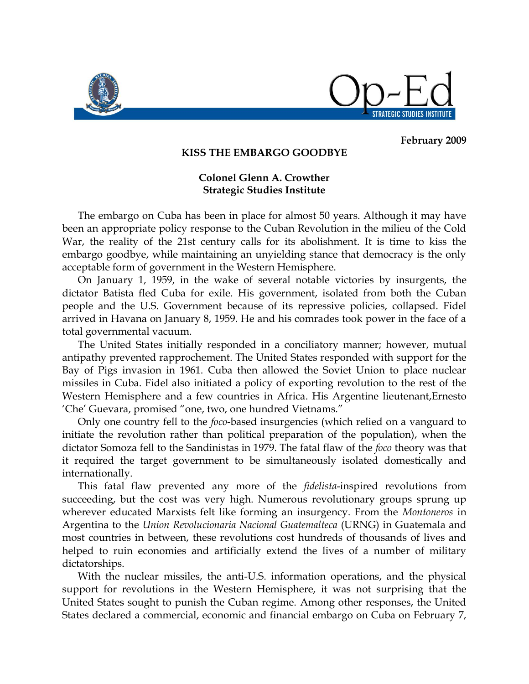

STRATEGIC STUDIES INSTITUTE

## **February 2009**

## **KISS THE EMBARGO GOODBYE**

## **Colonel Glenn A. Crowther Strategic Studies Institute**

The embargo on Cuba has been in place for almost 50 years. Although it may have been an appropriate policy response to the Cuban Revolution in the milieu of the Cold War, the reality of the 21st century calls for its abolishment. It is time to kiss the embargo goodbye, while maintaining an unyielding stance that democracy is the only acceptable form of government in the Western Hemisphere.

On January 1, 1959, in the wake of several notable victories by insurgents, the dictator Batista fled Cuba for exile. His government, isolated from both the Cuban people and the U.S. Government because of its repressive policies, collapsed. Fidel arrived in Havana on January 8, 1959. He and his comrades took power in the face of a total governmental vacuum.

The United States initially responded in a conciliatory manner; however, mutual antipathy prevented rapprochement. The United States responded with support for the Bay of Pigs invasion in 1961. Cuba then allowed the Soviet Union to place nuclear missiles in Cuba. Fidel also initiated a policy of exporting revolution to the rest of the Western Hemisphere and a few countries in Africa. His Argentine lieutenant,Ernesto "Che" Guevara, promised "one, two, one hundred Vietnams."

Only one country fell to the *foco*-based insurgencies (which relied on a vanguard to initiate the revolution rather than political preparation of the population), when the dictator Somoza fell to the Sandinistas in 1979. The fatal flaw of the *foco* theory was that it required the target government to be simultaneously isolated domestically and internationally.

This fatal flaw prevented any more of the *fidelista*-inspired revolutions from succeeding, but the cost was very high. Numerous revolutionary groups sprung up wherever educated Marxists felt like forming an insurgency. From the *Montoneros* in Argentina to the *Union Revolucionaria Nacional Guatemalteca* (URNG) in Guatemala and most countries in between, these revolutions cost hundreds of thousands of lives and helped to ruin economies and artificially extend the lives of a number of military dictatorships.

With the nuclear missiles, the anti-U.S. information operations, and the physical support for revolutions in the Western Hemisphere, it was not surprising that the United States sought to punish the Cuban regime. Among other responses, the United States declared a commercial, economic and financial embargo on Cuba on February 7,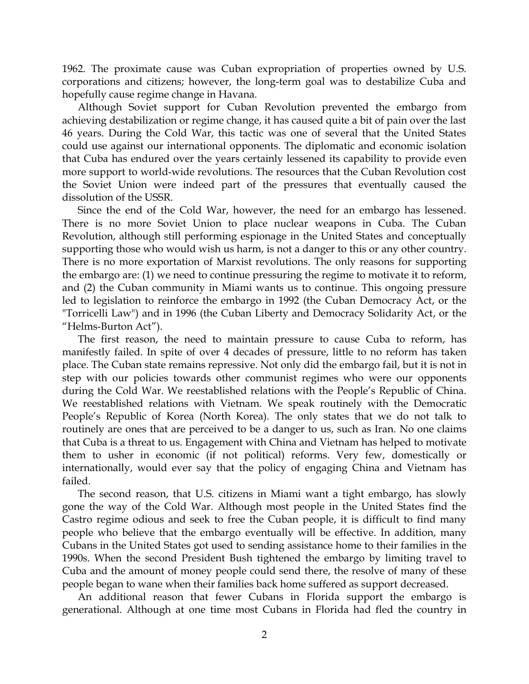1962. The proximate cause was Cuban expropriation of properties owned by U.S. corporations and citizens; however, the long-term goal was to destabilize Cuba and hopefully cause regime change in Havana.

Although Soviet support for Cuban Revolution prevented the embargo from achieving destabilization or regime change, it has caused quite a bit of pain over the last 46 years. During the Cold War, this tactic was one of several that the United States could use against our international opponents. The diplomatic and economic isolation that Cuba has endured over the years certainly lessened its capability to provide even more support to world-wide revolutions. The resources that the Cuban Revolution cost the Soviet Union were indeed part of the pressures that eventually caused the dissolution of the USSR.

Since the end of the Cold War, however, the need for an embargo has lessened. There is no more Soviet Union to place nuclear weapons in Cuba. The Cuban Revolution, although still performing espionage in the United States and conceptually supporting those who would wish us harm, is not a danger to this or any other country. There is no more exportation of Marxist revolutions. The only reasons for supporting the embargo are: (1) we need to continue pressuring the regime to motivate it to reform, and (2) the Cuban community in Miami wants us to continue. This ongoing pressure led to legislation to reinforce the embargo in 1992 (the Cuban Democracy Act, or the "Torricelli Law") and in 1996 (the Cuban Liberty and Democracy Solidarity Act, or the "Helms-Burton Act").

The first reason, the need to maintain pressure to cause Cuba to reform, has manifestly failed. In spite of over 4 decades of pressure, little to no reform has taken place. The Cuban state remains repressive. Not only did the embargo fail, but it is not in step with our policies towards other communist regimes who were our opponents during the Cold War. We reestablished relations with the People"s Republic of China. We reestablished relations with Vietnam. We speak routinely with the Democratic People"s Republic of Korea (North Korea). The only states that we do not talk to routinely are ones that are perceived to be a danger to us, such as Iran. No one claims that Cuba is a threat to us. Engagement with China and Vietnam has helped to motivate them to usher in economic (if not political) reforms. Very few, domestically or internationally, would ever say that the policy of engaging China and Vietnam has failed.

The second reason, that U.S. citizens in Miami want a tight embargo, has slowly gone the way of the Cold War. Although most people in the United States find the Castro regime odious and seek to free the Cuban people, it is difficult to find many people who believe that the embargo eventually will be effective. In addition, many Cubans in the United States got used to sending assistance home to their families in the 1990s. When the second President Bush tightened the embargo by limiting travel to Cuba and the amount of money people could send there, the resolve of many of these people began to wane when their families back home suffered as support decreased.

An additional reason that fewer Cubans in Florida support the embargo is generational. Although at one time most Cubans in Florida had fled the country in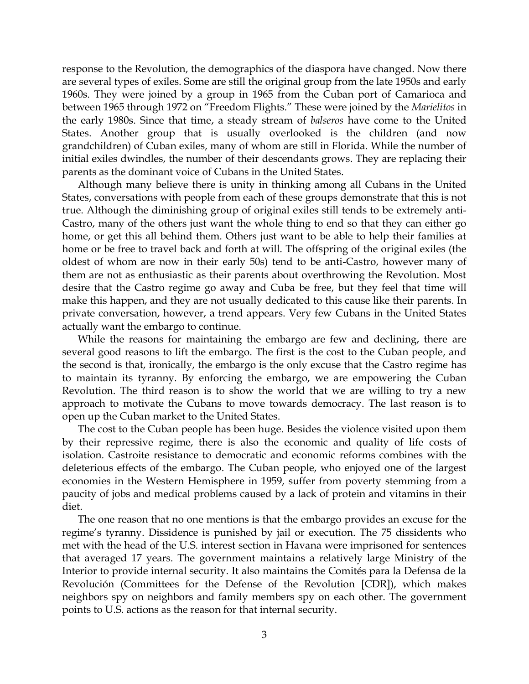response to the Revolution, the demographics of the diaspora have changed. Now there are several types of exiles. Some are still the original group from the late 1950s and early 1960s. They were joined by a group in 1965 from the Cuban port of Camarioca and between 1965 through 1972 on "Freedom Flights." These were joined by the *Marielitos* in the early 1980s. Since that time, a steady stream of *balseros* have come to the United States. Another group that is usually overlooked is the children (and now grandchildren) of Cuban exiles, many of whom are still in Florida. While the number of initial exiles dwindles, the number of their descendants grows. They are replacing their parents as the dominant voice of Cubans in the United States.

Although many believe there is unity in thinking among all Cubans in the United States, conversations with people from each of these groups demonstrate that this is not true. Although the diminishing group of original exiles still tends to be extremely anti-Castro, many of the others just want the whole thing to end so that they can either go home, or get this all behind them. Others just want to be able to help their families at home or be free to travel back and forth at will. The offspring of the original exiles (the oldest of whom are now in their early 50s) tend to be anti-Castro, however many of them are not as enthusiastic as their parents about overthrowing the Revolution. Most desire that the Castro regime go away and Cuba be free, but they feel that time will make this happen, and they are not usually dedicated to this cause like their parents. In private conversation, however, a trend appears. Very few Cubans in the United States actually want the embargo to continue.

While the reasons for maintaining the embargo are few and declining, there are several good reasons to lift the embargo. The first is the cost to the Cuban people, and the second is that, ironically, the embargo is the only excuse that the Castro regime has to maintain its tyranny. By enforcing the embargo, we are empowering the Cuban Revolution. The third reason is to show the world that we are willing to try a new approach to motivate the Cubans to move towards democracy. The last reason is to open up the Cuban market to the United States.

The cost to the Cuban people has been huge. Besides the violence visited upon them by their repressive regime, there is also the economic and quality of life costs of isolation. Castroite resistance to democratic and economic reforms combines with the deleterious effects of the embargo. The Cuban people, who enjoyed one of the largest economies in the Western Hemisphere in 1959, suffer from poverty stemming from a paucity of jobs and medical problems caused by a lack of protein and vitamins in their diet.

The one reason that no one mentions is that the embargo provides an excuse for the regime's tyranny. Dissidence is punished by jail or execution. The 75 dissidents who met with the head of the U.S. interest section in Havana were imprisoned for sentences that averaged 17 years. The government maintains a relatively large Ministry of the Interior to provide internal security. It also maintains the Comités para la Defensa de la Revolución (Committees for the Defense of the Revolution [CDR]), which makes neighbors spy on neighbors and family members spy on each other. The government points to U.S. actions as the reason for that internal security.